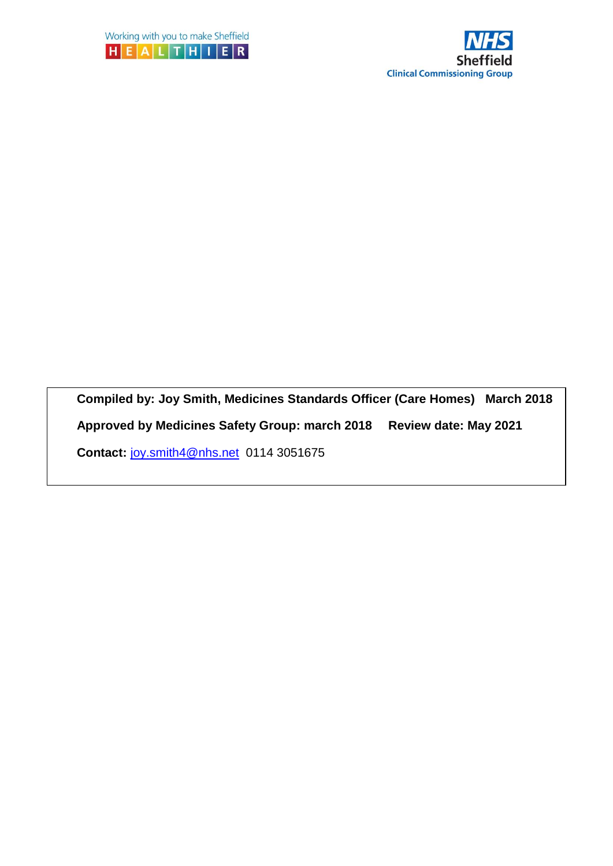



**Compiled by: Joy Smith, Medicines Standards Officer (Care Homes) March 2018** 

**Approved by Medicines Safety Group: march 2018 Review date: May 2021**

**Contact:** [joy.smith4@nhs.net](mailto:joy.smith4@nhs.net) 0114 3051675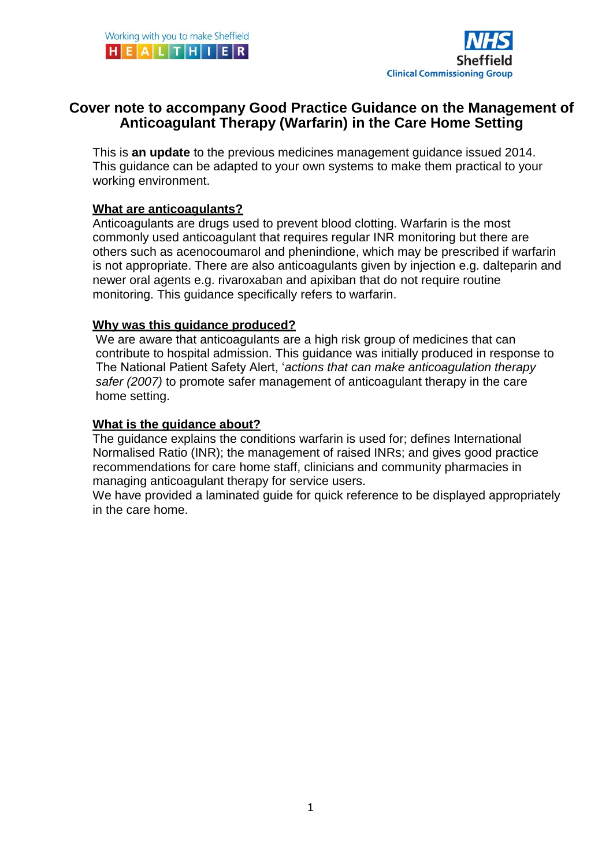

## **Cover note to accompany Good Practice Guidance on the Management of Anticoagulant Therapy (Warfarin) in the Care Home Setting**

This is **an update** to the previous medicines management guidance issued 2014. This guidance can be adapted to your own systems to make them practical to your working environment.

#### **What are anticoagulants?**

Anticoagulants are drugs used to prevent blood clotting. Warfarin is the most commonly used anticoagulant that requires regular INR monitoring but there are others such as acenocoumarol and phenindione, which may be prescribed if warfarin is not appropriate. There are also anticoagulants given by injection e.g. dalteparin and newer oral agents e.g. rivaroxaban and apixiban that do not require routine monitoring. This guidance specifically refers to warfarin.

#### **Why was this guidance produced?**

We are aware that anticoagulants are a high risk group of medicines that can contribute to hospital admission. This guidance was initially produced in response to The National Patient Safety Alert, '*actions that can make anticoagulation therapy safer (2007)* to promote safer management of anticoagulant therapy in the care home setting.

#### **What is the guidance about?**

The guidance explains the conditions warfarin is used for; defines International Normalised Ratio (INR); the management of raised INRs; and gives good practice recommendations for care home staff, clinicians and community pharmacies in managing anticoagulant therapy for service users.

We have provided a laminated guide for quick reference to be displayed appropriately in the care home.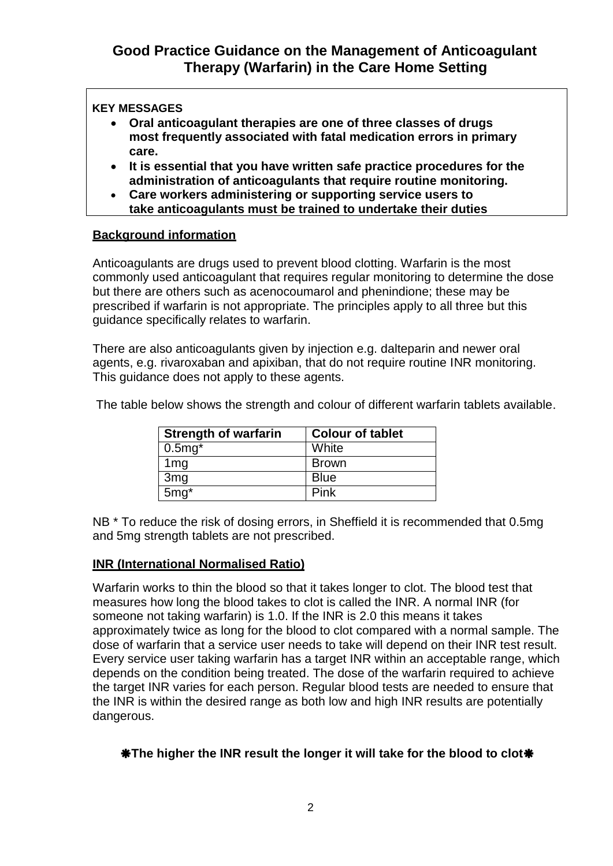#### **KEY MESSAGES**

- **Oral anticoagulant therapies are one of three classes of drugs most frequently associated with fatal medication errors in primary care.**
- **It is essential that you have written safe practice procedures for the administration of anticoagulants that require routine monitoring.**
- **Care workers administering or supporting service users to take anticoagulants must be trained to undertake their duties**

#### **Background information safely.**

Anticoagulants are drugs used to prevent blood clotting. Warfarin is the most commonly used anticoagulant that requires regular monitoring to determine the dose but there are others such as acenocoumarol and phenindione; these may be prescribed if warfarin is not appropriate. The principles apply to all three but this guidance specifically relates to warfarin.

There are also anticoagulants given by injection e.g. dalteparin and newer oral agents, e.g. rivaroxaban and apixiban, that do not require routine INR monitoring. This guidance does not apply to these agents.

| <b>Strength of warfarin</b> | <b>Colour of tablet</b> |
|-----------------------------|-------------------------|
| $0.5mg*$                    | White                   |
| 1mg                         | <b>Brown</b>            |
| 3 <sub>mg</sub>             | <b>Blue</b>             |
| $5mg^*$                     | Pink                    |

The table below shows the strength and colour of different warfarin tablets available.

NB \* To reduce the risk of dosing errors, in Sheffield it is recommended that 0.5mg and 5mg strength tablets are not prescribed.

#### **INR (International Normalised Ratio)**

Warfarin works to thin the blood so that it takes longer to clot. The blood test that measures how long the blood takes to clot is called the INR. A normal INR (for someone not taking warfarin) is 1.0. If the INR is 2.0 this means it takes approximately twice as long for the blood to clot compared with a normal sample. The dose of warfarin that a service user needs to take will depend on their INR test result. Every service user taking warfarin has a target INR within an acceptable range, which depends on the condition being treated. The dose of the warfarin required to achieve the target INR varies for each person. Regular blood tests are needed to ensure that the INR is within the desired range as both low and high INR results are potentially dangerous.

#### **\*The higher the INR result the longer it will take for the blood to clot\***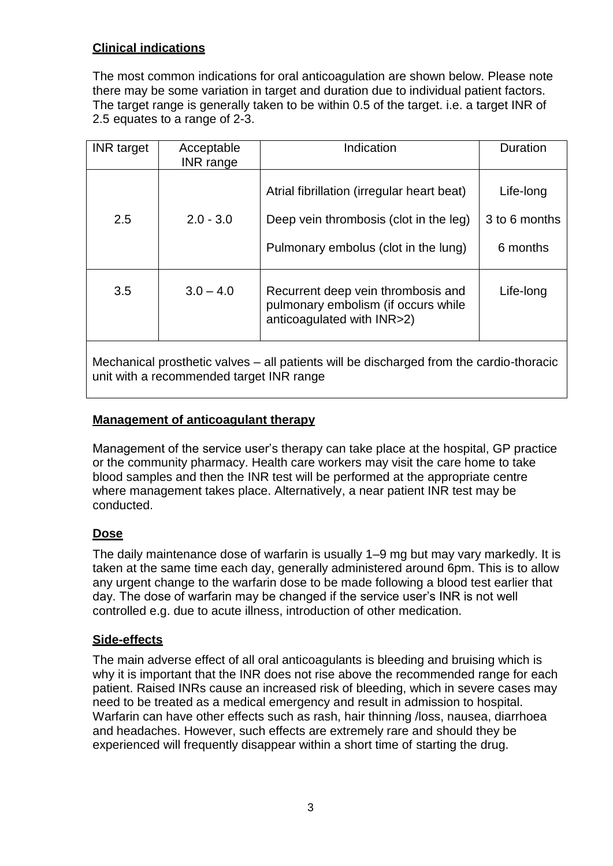### **Clinical indications**

The most common indications for oral anticoagulation are shown below. Please note there may be some variation in target and duration due to individual patient factors. The target range is generally taken to be within 0.5 of the target. i.e. a target INR of 2.5 equates to a range of 2-3.

| <b>INR</b> target | Acceptable<br><b>INR</b> range | Indication                                                                                                                   | Duration                               |
|-------------------|--------------------------------|------------------------------------------------------------------------------------------------------------------------------|----------------------------------------|
| 2.5               | $2.0 - 3.0$                    | Atrial fibrillation (irregular heart beat)<br>Deep vein thrombosis (clot in the leg)<br>Pulmonary embolus (clot in the lung) | Life-long<br>3 to 6 months<br>6 months |
| 3.5               | $3.0 - 4.0$                    | Recurrent deep vein thrombosis and<br>pulmonary embolism (if occurs while<br>anticoagulated with INR>2)                      | Life-long                              |

Mechanical prosthetic valves – all patients will be discharged from the cardio-thoracic unit with a recommended target INR range

#### **Management of anticoagulant therapy**

Management of the service user's therapy can take place at the hospital, GP practice or the community pharmacy. Health care workers may visit the care home to take blood samples and then the INR test will be performed at the appropriate centre where management takes place. Alternatively, a near patient INR test may be conducted.

#### **Dose**

The daily maintenance dose of warfarin is usually 1–9 mg but may vary markedly. It is taken at the same time each day, generally administered around 6pm. This is to allow any urgent change to the warfarin dose to be made following a blood test earlier that day. The dose of warfarin may be changed if the service user's INR is not well controlled e.g. due to acute illness, introduction of other medication.

#### **Side-effects**

The main adverse effect of all oral anticoagulants is bleeding and bruising which is why it is important that the INR does not rise above the recommended range for each patient. Raised INRs cause an increased risk of bleeding, which in severe cases may need to be treated as a medical emergency and result in admission to hospital. Warfarin can have other effects such as rash, hair thinning /loss, nausea, diarrhoea and headaches. However, such effects are extremely rare and should they be experienced will frequently disappear within a short time of starting the drug.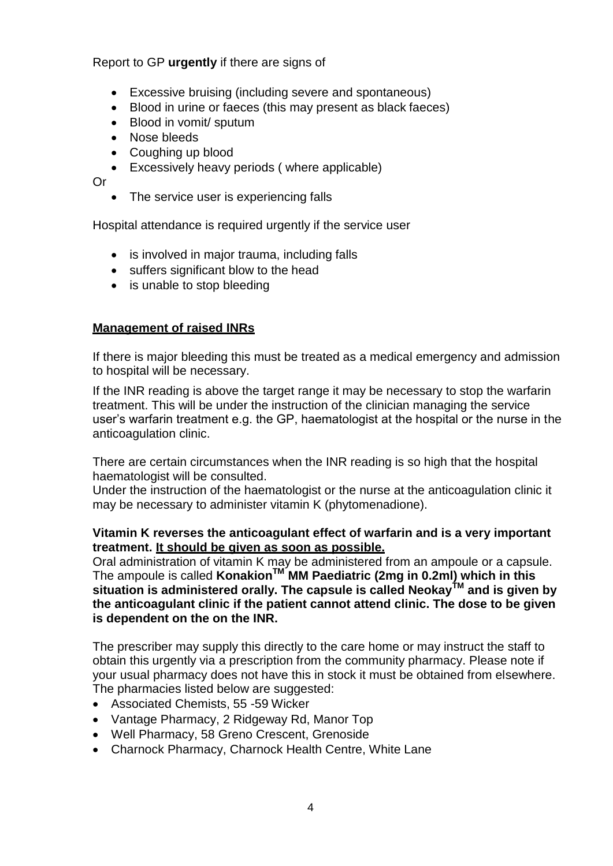#### Report to GP **urgently** if there are signs of

- Excessive bruising (including severe and spontaneous)
- Blood in urine or faeces (this may present as black faeces)
- Blood in vomit/ sputum
- Nose bleeds
- Coughing up blood
- Excessively heavy periods ( where applicable)

Or

• The service user is experiencing falls

Hospital attendance is required urgently if the service user

- is involved in major trauma, including falls
- suffers significant blow to the head
- is unable to stop bleeding

#### **Management of raised INRs**

If there is major bleeding this must be treated as a medical emergency and admission to hospital will be necessary.

If the INR reading is above the target range it may be necessary to stop the warfarin treatment. This will be under the instruction of the clinician managing the service user's warfarin treatment e.g. the GP, haematologist at the hospital or the nurse in the anticoagulation clinic.

There are certain circumstances when the INR reading is so high that the hospital haematologist will be consulted.

Under the instruction of the haematologist or the nurse at the anticoagulation clinic it may be necessary to administer vitamin K (phytomenadione).

#### **Vitamin K reverses the anticoagulant effect of warfarin and is a very important treatment. It should be given as soon as possible.**

Oral administration of vitamin K may be administered from an ampoule or a capsule. The ampoule is called **KonakionTM MM Paediatric (2mg in 0.2ml) which in this situation is administered orally. The capsule is called NeokayTM and is given by the anticoagulant clinic if the patient cannot attend clinic. The dose to be given is dependent on the on the INR.**

The prescriber may supply this directly to the care home or may instruct the staff to obtain this urgently via a prescription from the community pharmacy. Please note if your usual pharmacy does not have this in stock it must be obtained from elsewhere. The pharmacies listed below are suggested:

- Associated Chemists, 55 -59 Wicker
- Vantage Pharmacy, 2 Ridgeway Rd, Manor Top
- Well Pharmacy, 58 Greno Crescent, Grenoside
- Charnock Pharmacy, Charnock Health Centre, White Lane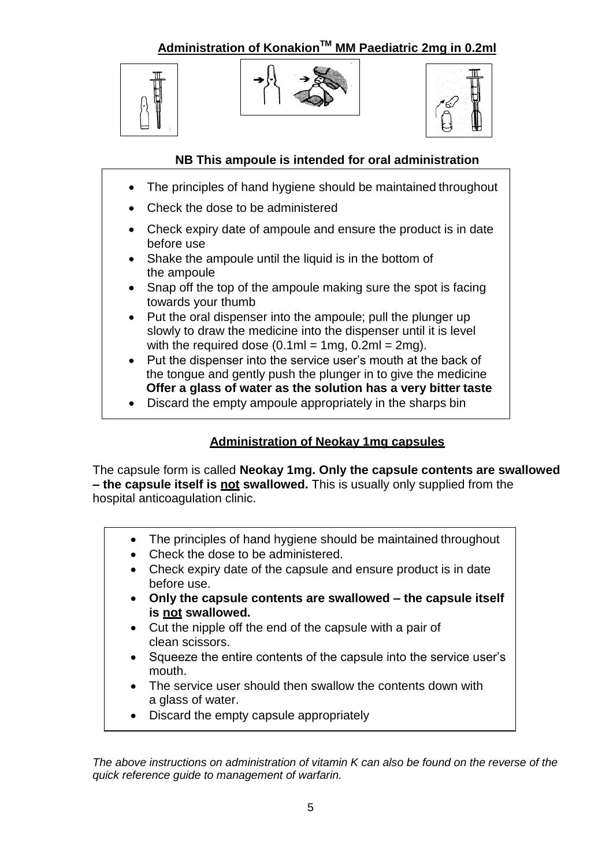**Administration of KonakionTM MM Paediatric 2mg in 0.2ml**







#### **NB This ampoule is intended for oral administration**

- The principles of hand hygiene should be maintained throughout
- Check the dose to be administered
- Check expiry date of ampoule and ensure the product is in date before use
- Shake the ampoule until the liquid is in the bottom of the ampoule
- Snap off the top of the ampoule making sure the spot is facing towards your thumb
- Put the oral dispenser into the ampoule; pull the plunger up slowly to draw the medicine into the dispenser until it is level with the required dose  $(0.1 \text{ml} = 1 \text{mq}, 0.2 \text{ml} = 2 \text{mq}).$
- Put the dispenser into the service user's mouth at the back of the tongue and gently push the plunger in to give the medicine **Offer a glass of water as the solution has a very bitter taste**
- Discard the empty ampoule appropriately in the sharps bin

## **Administration of Neokay 1mg capsules**

The capsule form is called **Neokay 1mg. Only the capsule contents are swallowed – the capsule itself is not swallowed.** This is usually only supplied from the hospital anticoagulation clinic.

- The principles of hand hygiene should be maintained throughout
- Check the dose to be administered.
- Check expiry date of the capsule and ensure product is in date before use.
- **Only the capsule contents are swallowed – the capsule itself is not swallowed.**
- Cut the nipple off the end of the capsule with a pair of clean scissors.
- Squeeze the entire contents of the capsule into the service user's mouth.
- The service user should then swallow the contents down with a glass of water.
- Discard the empty capsule appropriately

*The above instructions on administration of vitamin K can also be found on the reverse of the quick reference guide to management of warfarin.*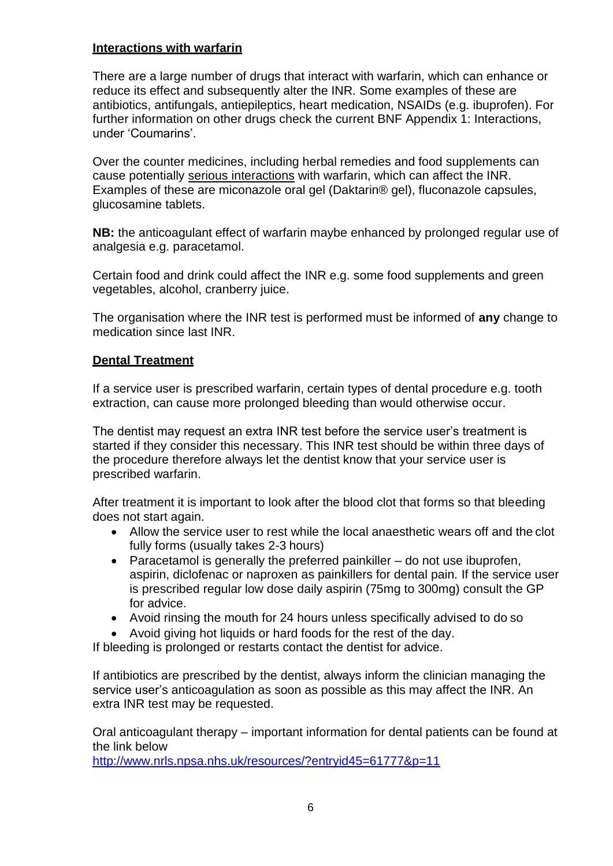#### **Interactions with warfarin**

There are a large number of drugs that interact with warfarin, which can enhance or reduce its effect and subsequently alter the INR. Some examples of these are antibiotics, antifungals, antiepileptics, heart medication, NSAIDs (e.g. ibuprofen). For further information on other drugs check the current BNF Appendix 1: Interactions, under 'Coumarins'.

Over the counter medicines, including herbal remedies and food supplements can cause potentially serious interactions with warfarin, which can affect the INR. Examples of these are miconazole oral gel (Daktarin® gel), fluconazole capsules, glucosamine tablets.

**NB:** the anticoagulant effect of warfarin maybe enhanced by prolonged regular use of analgesia e.g. paracetamol.

Certain food and drink could affect the INR e.g. some food supplements and green vegetables, alcohol, cranberry juice.

The organisation where the INR test is performed must be informed of **any** change to medication since last INR.

#### **Dental Treatment**

If a service user is prescribed warfarin, certain types of dental procedure e.g. tooth extraction, can cause more prolonged bleeding than would otherwise occur.

The dentist may request an extra INR test before the service user's treatment is started if they consider this necessary. This INR test should be within three days of the procedure therefore always let the dentist know that your service user is prescribed warfarin.

After treatment it is important to look after the blood clot that forms so that bleeding does not start again.

- Allow the service user to rest while the local anaesthetic wears off and the clot fully forms (usually takes 2-3 hours)
- Paracetamol is generally the preferred painkiller  $-$  do not use ibuprofen, aspirin, diclofenac or naproxen as painkillers for dental pain*.* If the service user is prescribed regular low dose daily aspirin (75mg to 300mg) consult the GP for advice.
- Avoid rinsing the mouth for 24 hours unless specifically advised to do so
- Avoid giving hot liquids or hard foods for the rest of the day.

If bleeding is prolonged or restarts contact the dentist for advice.

If antibiotics are prescribed by the dentist, always inform the clinician managing the service user's anticoagulation as soon as possible as this may affect the INR. An extra INR test may be requested.

Oral anticoagulant therapy – important information for dental patients can be found at the link below

<http://www.nrls.npsa.nhs.uk/resources/?entryid45=61777&p=11>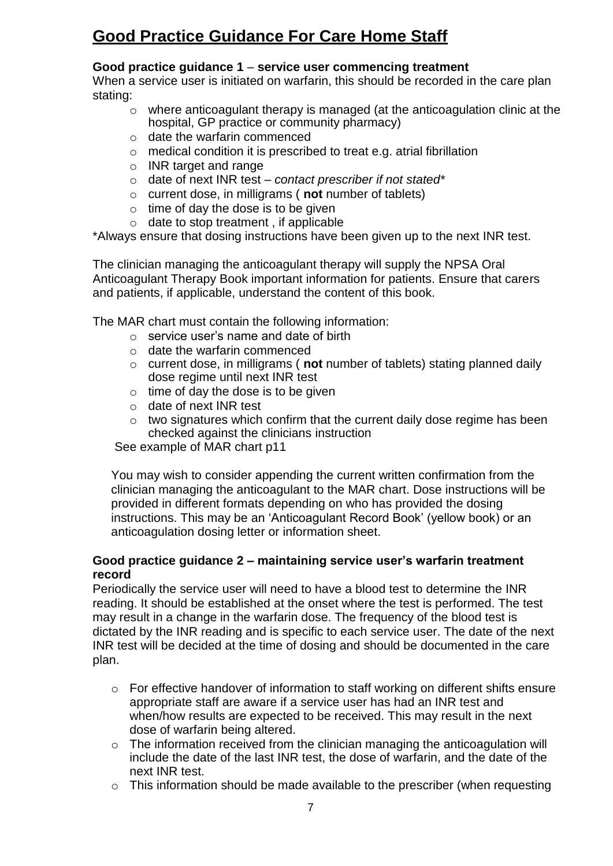# **Good Practice Guidance For Care Home Staff**

#### **Good practice guidance 1** – **service user commencing treatment**

When a service user is initiated on warfarin, this should be recorded in the care plan stating:

- o where anticoagulant therapy is managed (at the anticoagulation clinic at the hospital, GP practice or community pharmacy)
- o date the warfarin commenced
- o medical condition it is prescribed to treat e.g. atrial fibrillation
- o INR target and range
- o date of next INR test *contact prescriber if not stated\**
- o current dose, in milligrams ( **not** number of tablets)
- $\circ$  time of day the dose is to be given
- $\circ$  date to stop treatment, if applicable

\*Always ensure that dosing instructions have been given up to the next INR test.

The clinician managing the anticoagulant therapy will supply the NPSA Oral Anticoagulant Therapy Book important information for patients. Ensure that carers and patients, if applicable, understand the content of this book.

The MAR chart must contain the following information:

- $\circ$  service user's name and date of birth
- o date the warfarin commenced
- o current dose, in milligrams ( **not** number of tablets) stating planned daily dose regime until next INR test
- $\circ$  time of day the dose is to be given
- o date of next INR test
- o two signatures which confirm that the current daily dose regime has been checked against the clinicians instruction

See example of MAR chart p11

You may wish to consider appending the current written confirmation from the clinician managing the anticoagulant to the MAR chart. Dose instructions will be provided in different formats depending on who has provided the dosing instructions. This may be an 'Anticoagulant Record Book' (yellow book) or an anticoagulation dosing letter or information sheet.

#### **Good practice guidance 2 – maintaining service user's warfarin treatment record**

Periodically the service user will need to have a blood test to determine the INR reading. It should be established at the onset where the test is performed. The test may result in a change in the warfarin dose. The frequency of the blood test is dictated by the INR reading and is specific to each service user. The date of the next INR test will be decided at the time of dosing and should be documented in the care plan.

- o For effective handover of information to staff working on different shifts ensure appropriate staff are aware if a service user has had an INR test and when/how results are expected to be received. This may result in the next dose of warfarin being altered.
- o The information received from the clinician managing the anticoagulation will include the date of the last INR test, the dose of warfarin, and the date of the next INR test.
- $\circ$  This information should be made available to the prescriber (when requesting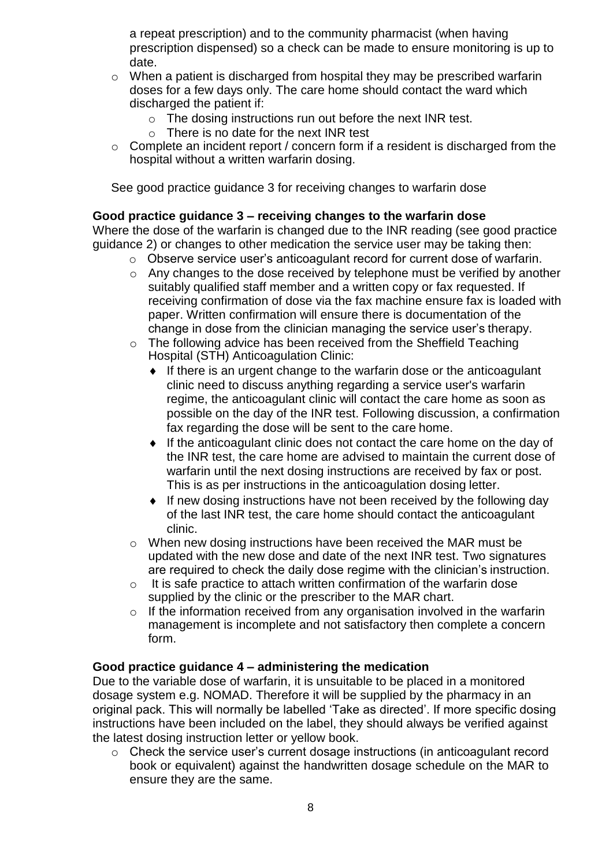a repeat prescription) and to the community pharmacist (when having prescription dispensed) so a check can be made to ensure monitoring is up to date.

- o When a patient is discharged from hospital they may be prescribed warfarin doses for a few days only. The care home should contact the ward which discharged the patient if:
	- o The dosing instructions run out before the next INR test.
	- o There is no date for the next INR test
- $\circ$  Complete an incident report / concern form if a resident is discharged from the hospital without a written warfarin dosing.

See good practice guidance 3 for receiving changes to warfarin dose

#### **Good practice guidance 3 – receiving changes to the warfarin dose**

Where the dose of the warfarin is changed due to the INR reading (see good practice guidance 2) or changes to other medication the service user may be taking then:

- o Observe service user's anticoagulant record for current dose of warfarin.
- o Any changes to the dose received by telephone must be verified by another suitably qualified staff member and a written copy or fax requested. If receiving confirmation of dose via the fax machine ensure fax is loaded with paper. Written confirmation will ensure there is documentation of the change in dose from the clinician managing the service user's therapy.
- The following advice has been received from the Sheffield Teaching Hospital (STH) Anticoagulation Clinic:
	- $\bullet$  If there is an urgent change to the warfarin dose or the anticoagulant clinic need to discuss anything regarding a service user's warfarin regime, the anticoagulant clinic will contact the care home as soon as possible on the day of the INR test. Following discussion, a confirmation fax regarding the dose will be sent to the care home.
	- If the anticoagulant clinic does not contact the care home on the day of the INR test, the care home are advised to maintain the current dose of warfarin until the next dosing instructions are received by fax or post. This is as per instructions in the anticoagulation dosing letter.
	- If new dosing instructions have not been received by the following day of the last INR test, the care home should contact the anticoagulant clinic.
- $\circ$  When new dosing instructions have been received the MAR must be updated with the new dose and date of the next INR test. Two signatures are required to check the daily dose regime with the clinician's instruction.
- o It is safe practice to attach written confirmation of the warfarin dose supplied by the clinic or the prescriber to the MAR chart.
- $\circ$  If the information received from any organisation involved in the warfarin management is incomplete and not satisfactory then complete a concern form.

#### **Good practice guidance 4 – administering the medication**

Due to the variable dose of warfarin, it is unsuitable to be placed in a monitored dosage system e.g. NOMAD. Therefore it will be supplied by the pharmacy in an original pack. This will normally be labelled 'Take as directed'. If more specific dosing instructions have been included on the label, they should always be verified against the latest dosing instruction letter or yellow book.

o Check the service user's current dosage instructions (in anticoagulant record book or equivalent) against the handwritten dosage schedule on the MAR to ensure they are the same.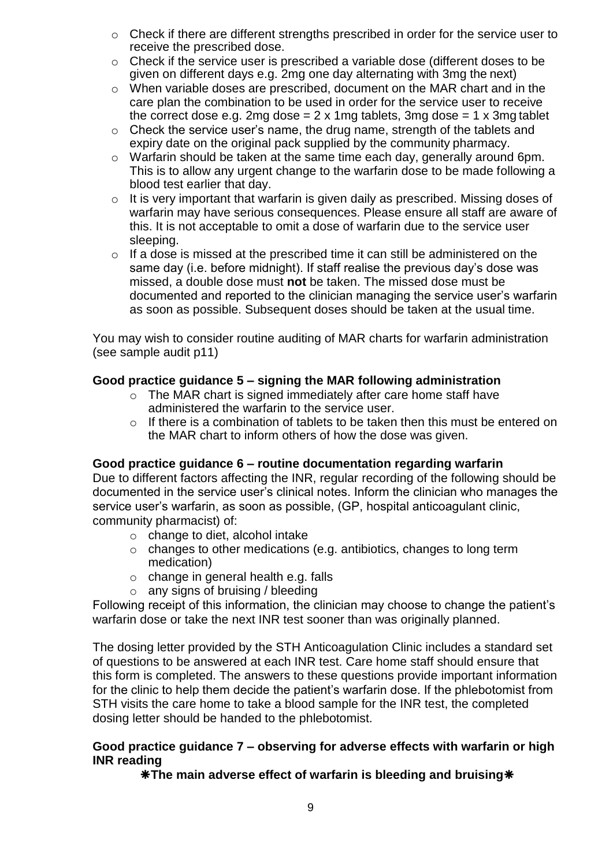- o Check if there are different strengths prescribed in order for the service user to receive the prescribed dose.
- o Check if the service user is prescribed a variable dose (different doses to be given on different days e.g. 2mg one day alternating with 3mg the next)
- o When variable doses are prescribed, document on the MAR chart and in the care plan the combination to be used in order for the service user to receive the correct dose e.g. 2mg dose  $= 2 \times 1$ mg tablets, 3mg dose  $= 1 \times 3$ mg tablet
- o Check the service user's name, the drug name, strength of the tablets and expiry date on the original pack supplied by the community pharmacy.
- o Warfarin should be taken at the same time each day, generally around 6pm. This is to allow any urgent change to the warfarin dose to be made following a blood test earlier that day.
- $\circ$  It is very important that warfarin is given daily as prescribed. Missing doses of warfarin may have serious consequences. Please ensure all staff are aware of this. It is not acceptable to omit a dose of warfarin due to the service user sleeping.
- $\circ$  If a dose is missed at the prescribed time it can still be administered on the same day (i.e. before midnight). If staff realise the previous day's dose was missed, a double dose must **not** be taken. The missed dose must be documented and reported to the clinician managing the service user's warfarin as soon as possible. Subsequent doses should be taken at the usual time.

You may wish to consider routine auditing of MAR charts for warfarin administration (see sample audit p11)

#### **Good practice guidance 5 – signing the MAR following administration**

- o The MAR chart is signed immediately after care home staff have administered the warfarin to the service user.
- o If there is a combination of tablets to be taken then this must be entered on the MAR chart to inform others of how the dose was given.

#### **Good practice guidance 6 – routine documentation regarding warfarin**

Due to different factors affecting the INR, regular recording of the following should be documented in the service user's clinical notes. Inform the clinician who manages the service user's warfarin, as soon as possible, (GP, hospital anticoagulant clinic, community pharmacist) of:

- o change to diet, alcohol intake
- o changes to other medications (e.g. antibiotics, changes to long term medication)
- o change in general health e.g. falls
- $\circ$  any signs of bruising / bleeding

Following receipt of this information, the clinician may choose to change the patient's warfarin dose or take the next INR test sooner than was originally planned.

The dosing letter provided by the STH Anticoagulation Clinic includes a standard set of questions to be answered at each INR test. Care home staff should ensure that this form is completed. The answers to these questions provide important information for the clinic to help them decide the patient's warfarin dose. If the phlebotomist from STH visits the care home to take a blood sample for the INR test, the completed dosing letter should be handed to the phlebotomist.

#### **Good practice guidance 7 – observing for adverse effects with warfarin or high INR reading**

**The main adverse effect of warfarin is bleeding and bruising**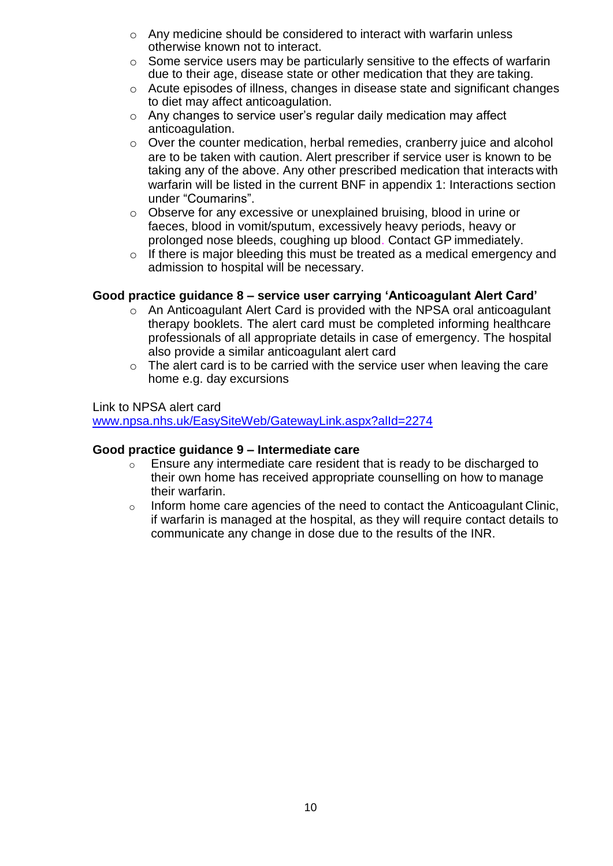- o Any medicine should be considered to interact with warfarin unless otherwise known not to interact.
- o Some service users may be particularly sensitive to the effects of warfarin due to their age, disease state or other medication that they are taking.
- o Acute episodes of illness, changes in disease state and significant changes to diet may affect anticoagulation.
- o Any changes to service user's regular daily medication may affect anticoagulation.
- o Over the counter medication, herbal remedies, cranberry juice and alcohol are to be taken with caution. Alert prescriber if service user is known to be taking any of the above. Any other prescribed medication that interacts with warfarin will be listed in the current BNF in appendix 1: Interactions section under "Coumarins".
- o Observe for any excessive or unexplained bruising, blood in urine or faeces, blood in vomit/sputum, excessively heavy periods, heavy or prolonged nose bleeds, coughing up blood. Contact GP immediately.
- $\circ$  If there is major bleeding this must be treated as a medical emergency and admission to hospital will be necessary.

#### **Good practice guidance 8 – service user carrying 'Anticoagulant Alert Card'**

- o An Anticoagulant Alert Card is provided with the NPSA oral anticoagulant therapy booklets. The alert card must be completed informing healthcare professionals of all appropriate details in case of emergency. The hospital also provide a similar anticoagulant alert card
- o The alert card is to be carried with the service user when leaving the care home e.g. day excursions

#### Link to NPSA alert card

[www.npsa.nhs.uk/EasySiteWeb/GatewayLink.aspx?alId=2274](http://www.npsa.nhs.uk/EasySiteWeb/GatewayLink.aspx?alId=2274)

#### **Good practice guidance 9 – Intermediate care**

- $\circ$  Ensure any intermediate care resident that is ready to be discharged to their own home has received appropriate counselling on how to manage their warfarin.
- o Inform home care agencies of the need to contact the Anticoagulant Clinic, if warfarin is managed at the hospital, as they will require contact details to communicate any change in dose due to the results of the INR.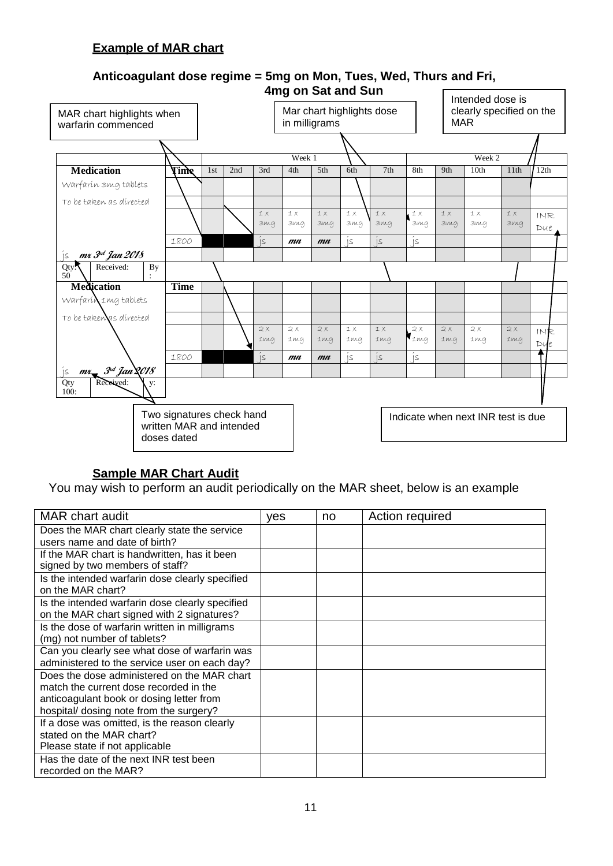#### **Example of MAR chart**



#### **Anticoagulant dose regime = 5mg on Mon, Tues, Wed, Thurs and Fri, 4mg on Sat and Sun**

#### **Sample MAR Chart Audit**

You may wish to perform an audit periodically on the MAR sheet, below is an example

| <b>MAR</b> chart audit                                                                                                                                                       | yes | no | Action required |
|------------------------------------------------------------------------------------------------------------------------------------------------------------------------------|-----|----|-----------------|
| Does the MAR chart clearly state the service<br>users name and date of birth?                                                                                                |     |    |                 |
| If the MAR chart is handwritten, has it been<br>signed by two members of staff?                                                                                              |     |    |                 |
| Is the intended warfarin dose clearly specified<br>on the MAR chart?                                                                                                         |     |    |                 |
| Is the intended warfarin dose clearly specified<br>on the MAR chart signed with 2 signatures?                                                                                |     |    |                 |
| Is the dose of warfarin written in milligrams<br>(mg) not number of tablets?                                                                                                 |     |    |                 |
| Can you clearly see what dose of warfarin was<br>administered to the service user on each day?                                                                               |     |    |                 |
| Does the dose administered on the MAR chart<br>match the current dose recorded in the<br>anticoagulant book or dosing letter from<br>hospital/ dosing note from the surgery? |     |    |                 |
| If a dose was omitted, is the reason clearly<br>stated on the MAR chart?<br>Please state if not applicable                                                                   |     |    |                 |
| Has the date of the next INR test been<br>recorded on the MAR?                                                                                                               |     |    |                 |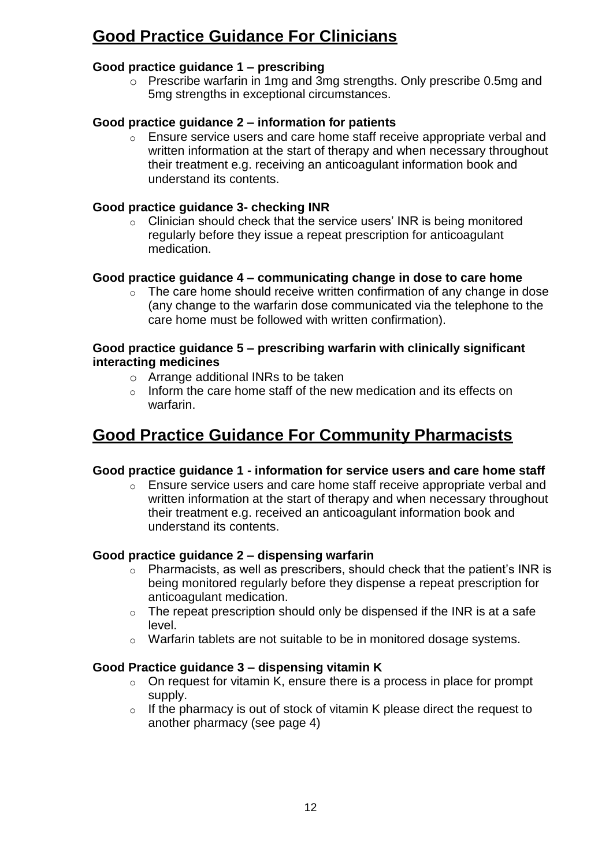## **Good Practice Guidance For Clinicians**

#### **Good practice guidance 1 – prescribing**

o Prescribe warfarin in 1mg and 3mg strengths. Only prescribe 0.5mg and 5mg strengths in exceptional circumstances.

#### **Good practice guidance 2 – information for patients**

o Ensure service users and care home staff receive appropriate verbal and written information at the start of therapy and when necessary throughout their treatment e.g. receiving an anticoagulant information book and understand its contents.

#### **Good practice guidance 3- checking INR**

o Clinician should check that the service users' INR is being monitored regularly before they issue a repeat prescription for anticoagulant medication.

#### **Good practice guidance 4 – communicating change in dose to care home**

o The care home should receive written confirmation of any change in dose (any change to the warfarin dose communicated via the telephone to the care home must be followed with written confirmation).

#### **Good practice guidance 5 – prescribing warfarin with clinically significant interacting medicines**

- o Arrange additional INRs to be taken
- o Inform the care home staff of the new medication and its effects on warfarin.

## **Good Practice Guidance For Community Pharmacists**

#### **Good practice guidance 1 - information for service users and care home staff**

o Ensure service users and care home staff receive appropriate verbal and written information at the start of therapy and when necessary throughout their treatment e.g. received an anticoagulant information book and understand its contents.

#### **Good practice guidance 2 – dispensing warfarin**

- o Pharmacists, as well as prescribers, should check that the patient's INR is being monitored regularly before they dispense a repeat prescription for anticoagulant medication.
- $\circ$  The repeat prescription should only be dispensed if the INR is at a safe level.
- o Warfarin tablets are not suitable to be in monitored dosage systems.

#### **Good Practice guidance 3 – dispensing vitamin K**

- $\circ$  On request for vitamin K, ensure there is a process in place for prompt supply.
- o If the pharmacy is out of stock of vitamin K please direct the request to another pharmacy (see page 4)